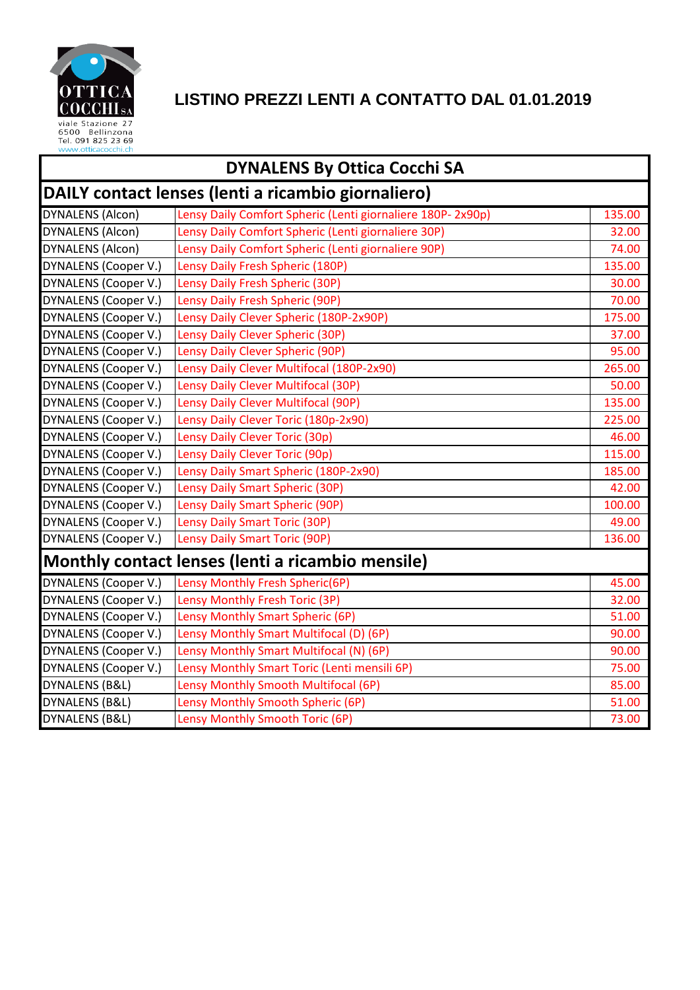

### **LISTINO PREZZI LENTI A CONTATTO DAL 01.01.2019**

| <b>DYNALENS By Ottica Cocchi SA</b>                 |                                                            |        |  |
|-----------------------------------------------------|------------------------------------------------------------|--------|--|
| DAILY contact lenses (lenti a ricambio giornaliero) |                                                            |        |  |
| <b>DYNALENS (Alcon)</b>                             | Lensy Daily Comfort Spheric (Lenti giornaliere 180P-2x90p) | 135.00 |  |
| <b>DYNALENS (Alcon)</b>                             | Lensy Daily Comfort Spheric (Lenti giornaliere 30P)        | 32.00  |  |
| <b>DYNALENS (Alcon)</b>                             | Lensy Daily Comfort Spheric (Lenti giornaliere 90P)        | 74.00  |  |
| DYNALENS (Cooper V.)                                | Lensy Daily Fresh Spheric (180P)                           | 135.00 |  |
| DYNALENS (Cooper V.)                                | Lensy Daily Fresh Spheric (30P)                            | 30.00  |  |
| <b>DYNALENS (Cooper V.)</b>                         | Lensy Daily Fresh Spheric (90P)                            | 70.00  |  |
| <b>DYNALENS (Cooper V.)</b>                         | Lensy Daily Clever Spheric (180P-2x90P)                    | 175.00 |  |
| <b>DYNALENS (Cooper V.)</b>                         | Lensy Daily Clever Spheric (30P)                           | 37.00  |  |
| DYNALENS (Cooper V.)                                | Lensy Daily Clever Spheric (90P)                           | 95.00  |  |
| <b>DYNALENS (Cooper V.)</b>                         | Lensy Daily Clever Multifocal (180P-2x90)                  | 265.00 |  |
| DYNALENS (Cooper V.)                                | Lensy Daily Clever Multifocal (30P)                        | 50.00  |  |
| DYNALENS (Cooper V.)                                | Lensy Daily Clever Multifocal (90P)                        | 135.00 |  |
| DYNALENS (Cooper V.)                                | Lensy Daily Clever Toric (180p-2x90)                       | 225.00 |  |
| <b>DYNALENS (Cooper V.)</b>                         | Lensy Daily Clever Toric (30p)                             | 46.00  |  |
| DYNALENS (Cooper V.)                                | Lensy Daily Clever Toric (90p)                             | 115.00 |  |
| DYNALENS (Cooper V.)                                | Lensy Daily Smart Spheric (180P-2x90)                      | 185.00 |  |
| DYNALENS (Cooper V.)                                | Lensy Daily Smart Spheric (30P)                            | 42.00  |  |
| DYNALENS (Cooper V.)                                | Lensy Daily Smart Spheric (90P)                            | 100.00 |  |
| <b>DYNALENS (Cooper V.)</b>                         | Lensy Daily Smart Toric (30P)                              | 49.00  |  |
| DYNALENS (Cooper V.)                                | Lensy Daily Smart Toric (90P)                              | 136.00 |  |
|                                                     | Monthly contact lenses (lenti a ricambio mensile)          |        |  |
| <b>DYNALENS (Cooper V.)</b>                         | Lensy Monthly Fresh Spheric(6P)                            | 45.00  |  |
| <b>DYNALENS (Cooper V.)</b>                         | Lensy Monthly Fresh Toric (3P)                             | 32.00  |  |
| DYNALENS (Cooper V.)                                | Lensy Monthly Smart Spheric (6P)                           | 51.00  |  |
| <b>DYNALENS (Cooper V.)</b>                         | Lensy Monthly Smart Multifocal (D) (6P)                    | 90.00  |  |
| <b>DYNALENS (Cooper V.)</b>                         | Lensy Monthly Smart Multifocal (N) (6P)                    | 90.00  |  |
| <b>DYNALENS (Cooper V.)</b>                         | Lensy Monthly Smart Toric (Lenti mensili 6P)               | 75.00  |  |
| DYNALENS (B&L)                                      | Lensy Monthly Smooth Multifocal (6P)                       | 85.00  |  |
| DYNALENS (B&L)                                      | Lensy Monthly Smooth Spheric (6P)                          | 51.00  |  |
| DYNALENS (B&L)                                      | Lensy Monthly Smooth Toric (6P)                            | 73.00  |  |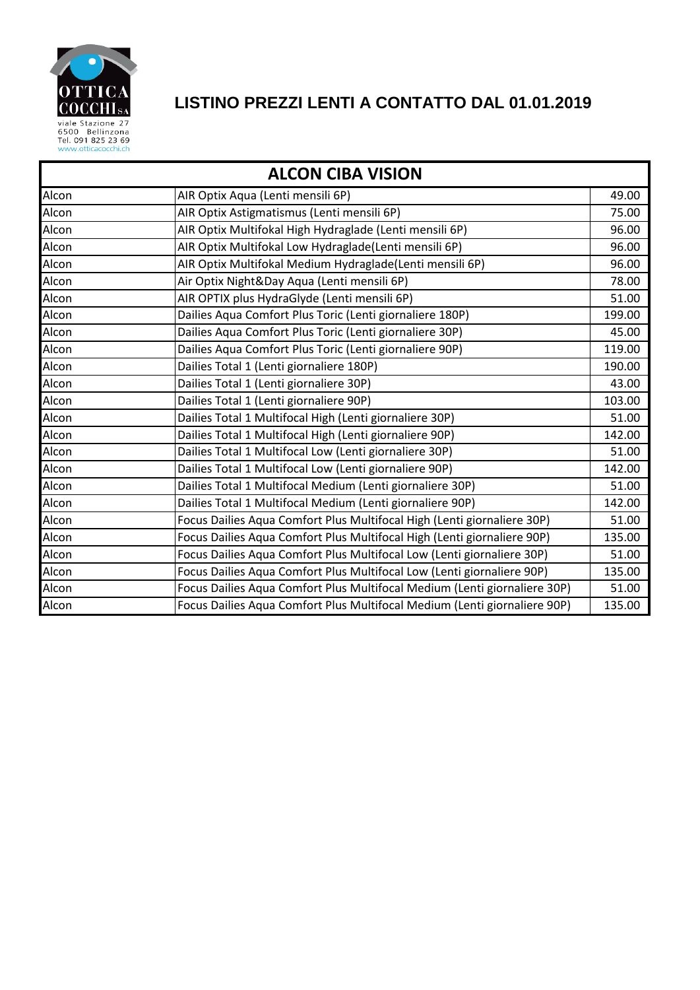

# **LISTINO PREZZI LENTI A CONTATTO DAL 01.01.2019**

| <b>ALCON CIBA VISION</b> |                                                                           |        |  |
|--------------------------|---------------------------------------------------------------------------|--------|--|
| Alcon                    | AIR Optix Aqua (Lenti mensili 6P)                                         | 49.00  |  |
| Alcon                    | AIR Optix Astigmatismus (Lenti mensili 6P)                                | 75.00  |  |
| Alcon                    | AIR Optix Multifokal High Hydraglade (Lenti mensili 6P)                   | 96.00  |  |
| Alcon                    | AIR Optix Multifokal Low Hydraglade(Lenti mensili 6P)                     | 96.00  |  |
| Alcon                    | AIR Optix Multifokal Medium Hydraglade(Lenti mensili 6P)                  | 96.00  |  |
| Alcon                    | Air Optix Night&Day Aqua (Lenti mensili 6P)                               | 78.00  |  |
| Alcon                    | AIR OPTIX plus HydraGlyde (Lenti mensili 6P)                              | 51.00  |  |
| Alcon                    | Dailies Aqua Comfort Plus Toric (Lenti giornaliere 180P)                  | 199.00 |  |
| Alcon                    | Dailies Aqua Comfort Plus Toric (Lenti giornaliere 30P)                   | 45.00  |  |
| Alcon                    | Dailies Aqua Comfort Plus Toric (Lenti giornaliere 90P)                   | 119.00 |  |
| Alcon                    | Dailies Total 1 (Lenti giornaliere 180P)                                  | 190.00 |  |
| Alcon                    | Dailies Total 1 (Lenti giornaliere 30P)                                   | 43.00  |  |
| Alcon                    | Dailies Total 1 (Lenti giornaliere 90P)                                   | 103.00 |  |
| Alcon                    | Dailies Total 1 Multifocal High (Lenti giornaliere 30P)                   | 51.00  |  |
| Alcon                    | Dailies Total 1 Multifocal High (Lenti giornaliere 90P)                   | 142.00 |  |
| Alcon                    | Dailies Total 1 Multifocal Low (Lenti giornaliere 30P)                    | 51.00  |  |
| Alcon                    | Dailies Total 1 Multifocal Low (Lenti giornaliere 90P)                    | 142.00 |  |
| Alcon                    | Dailies Total 1 Multifocal Medium (Lenti giornaliere 30P)                 | 51.00  |  |
| Alcon                    | Dailies Total 1 Multifocal Medium (Lenti giornaliere 90P)                 | 142.00 |  |
| Alcon                    | Focus Dailies Aqua Comfort Plus Multifocal High (Lenti giornaliere 30P)   | 51.00  |  |
| Alcon                    | Focus Dailies Aqua Comfort Plus Multifocal High (Lenti giornaliere 90P)   | 135.00 |  |
| Alcon                    | Focus Dailies Aqua Comfort Plus Multifocal Low (Lenti giornaliere 30P)    | 51.00  |  |
| Alcon                    | Focus Dailies Aqua Comfort Plus Multifocal Low (Lenti giornaliere 90P)    | 135.00 |  |
| Alcon                    | Focus Dailies Aqua Comfort Plus Multifocal Medium (Lenti giornaliere 30P) | 51.00  |  |
| Alcon                    | Focus Dailies Aqua Comfort Plus Multifocal Medium (Lenti giornaliere 90P) | 135.00 |  |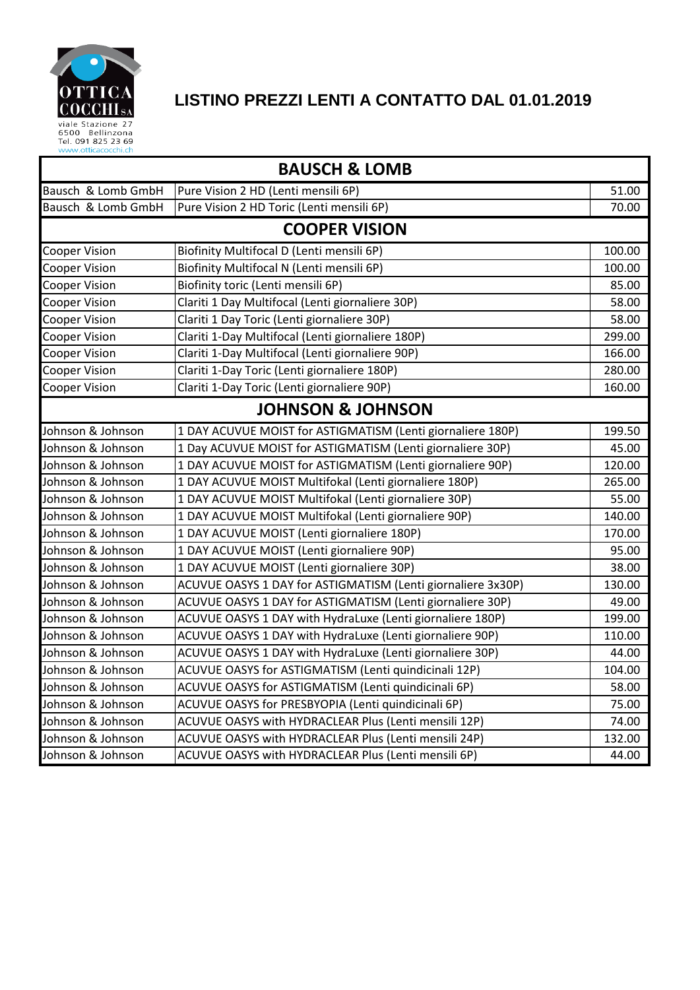

## **LISTINO PREZZI LENTI A CONTATTO DAL 01.01.2019**

| <b>BAUSCH &amp; LOMB</b> |                                                              |        |  |  |
|--------------------------|--------------------------------------------------------------|--------|--|--|
| Bausch & Lomb GmbH       | Pure Vision 2 HD (Lenti mensili 6P)                          | 51.00  |  |  |
| Bausch & Lomb GmbH       | Pure Vision 2 HD Toric (Lenti mensili 6P)                    | 70.00  |  |  |
| <b>COOPER VISION</b>     |                                                              |        |  |  |
| <b>Cooper Vision</b>     | Biofinity Multifocal D (Lenti mensili 6P)                    | 100.00 |  |  |
| <b>Cooper Vision</b>     | Biofinity Multifocal N (Lenti mensili 6P)                    | 100.00 |  |  |
| <b>Cooper Vision</b>     | Biofinity toric (Lenti mensili 6P)                           | 85.00  |  |  |
| <b>Cooper Vision</b>     | Clariti 1 Day Multifocal (Lenti giornaliere 30P)             | 58.00  |  |  |
| <b>Cooper Vision</b>     | Clariti 1 Day Toric (Lenti giornaliere 30P)                  | 58.00  |  |  |
| <b>Cooper Vision</b>     | Clariti 1-Day Multifocal (Lenti giornaliere 180P)            | 299.00 |  |  |
| <b>Cooper Vision</b>     | Clariti 1-Day Multifocal (Lenti giornaliere 90P)             | 166.00 |  |  |
| <b>Cooper Vision</b>     | Clariti 1-Day Toric (Lenti giornaliere 180P)                 | 280.00 |  |  |
| <b>Cooper Vision</b>     | Clariti 1-Day Toric (Lenti giornaliere 90P)                  | 160.00 |  |  |
|                          | <b>JOHNSON &amp; JOHNSON</b>                                 |        |  |  |
| Johnson & Johnson        | 1 DAY ACUVUE MOIST for ASTIGMATISM (Lenti giornaliere 180P)  | 199.50 |  |  |
| Johnson & Johnson        | 1 Day ACUVUE MOIST for ASTIGMATISM (Lenti giornaliere 30P)   | 45.00  |  |  |
| Johnson & Johnson        | 1 DAY ACUVUE MOIST for ASTIGMATISM (Lenti giornaliere 90P)   | 120.00 |  |  |
| Johnson & Johnson        | 1 DAY ACUVUE MOIST Multifokal (Lenti giornaliere 180P)       | 265.00 |  |  |
| Johnson & Johnson        | 1 DAY ACUVUE MOIST Multifokal (Lenti giornaliere 30P)        | 55.00  |  |  |
| Johnson & Johnson        | 1 DAY ACUVUE MOIST Multifokal (Lenti giornaliere 90P)        | 140.00 |  |  |
| Johnson & Johnson        | 1 DAY ACUVUE MOIST (Lenti giornaliere 180P)                  | 170.00 |  |  |
| Johnson & Johnson        | 1 DAY ACUVUE MOIST (Lenti giornaliere 90P)                   | 95.00  |  |  |
| Johnson & Johnson        | 1 DAY ACUVUE MOIST (Lenti giornaliere 30P)                   | 38.00  |  |  |
| Johnson & Johnson        | ACUVUE OASYS 1 DAY for ASTIGMATISM (Lenti giornaliere 3x30P) | 130.00 |  |  |
| Johnson & Johnson        | ACUVUE OASYS 1 DAY for ASTIGMATISM (Lenti giornaliere 30P)   | 49.00  |  |  |
| Johnson & Johnson        | ACUVUE OASYS 1 DAY with HydraLuxe (Lenti giornaliere 180P)   | 199.00 |  |  |
| Johnson & Johnson        | ACUVUE OASYS 1 DAY with HydraLuxe (Lenti giornaliere 90P)    | 110.00 |  |  |
| Johnson & Johnson        | ACUVUE OASYS 1 DAY with HydraLuxe (Lenti giornaliere 30P)    | 44.00  |  |  |
| Johnson & Johnson        | ACUVUE OASYS for ASTIGMATISM (Lenti quindicinali 12P)        | 104.00 |  |  |
| Johnson & Johnson        | ACUVUE OASYS for ASTIGMATISM (Lenti quindicinali 6P)         | 58.00  |  |  |
| Johnson & Johnson        | ACUVUE OASYS for PRESBYOPIA (Lenti quindicinali 6P)          | 75.00  |  |  |
| Johnson & Johnson        | ACUVUE OASYS with HYDRACLEAR Plus (Lenti mensili 12P)        | 74.00  |  |  |
| Johnson & Johnson        | ACUVUE OASYS with HYDRACLEAR Plus (Lenti mensili 24P)        | 132.00 |  |  |
| Johnson & Johnson        | ACUVUE OASYS with HYDRACLEAR Plus (Lenti mensili 6P)         | 44.00  |  |  |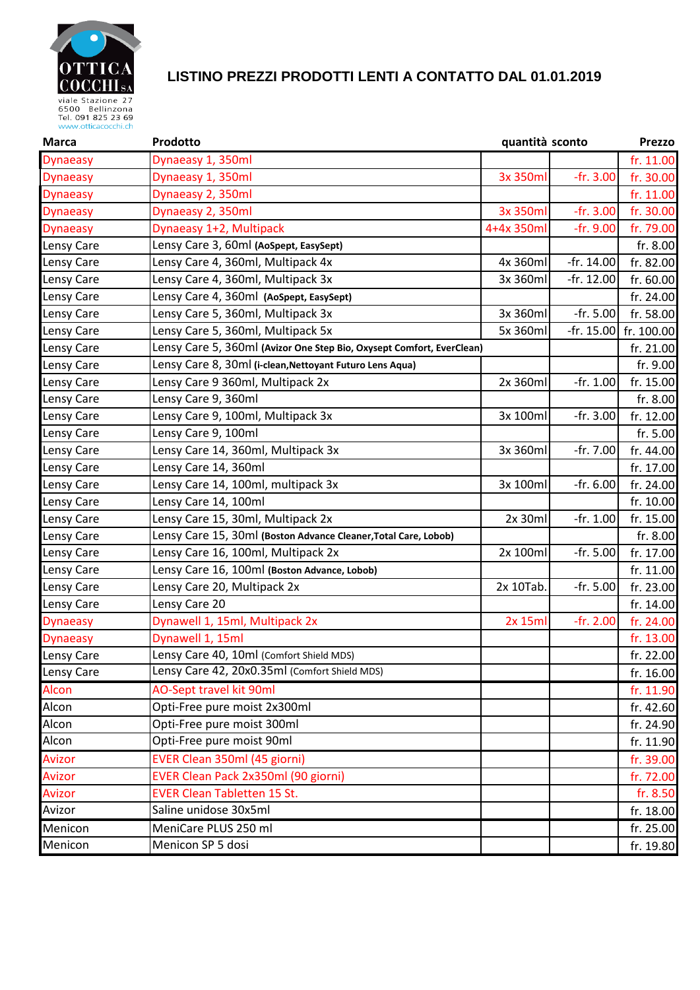

#### **LISTINO PREZZI PRODOTTI LENTI A CONTATTO DAL 01.01.2019**

| <b>Marca</b>      | Prodotto                                                              | quantità sconto |              | Prezzo     |
|-------------------|-----------------------------------------------------------------------|-----------------|--------------|------------|
| <b>Dynaeasy</b>   | Dynaeasy 1, 350ml                                                     |                 |              | fr. 11.00  |
| <b>Dynaeasy</b>   | Dynaeasy 1, 350ml                                                     | 3x 350ml        | $-fr. 3.00$  | fr. 30.00  |
| <b>Dynaeasy</b>   | Dynaeasy 2, 350ml                                                     |                 |              | fr. 11.00  |
| <b>Dynaeasy</b>   | Dynaeasy 2, 350ml                                                     | 3x 350ml        | $-fr. 3.00$  | fr. 30.00  |
| <b>Dynaeasy</b>   | Dynaeasy 1+2, Multipack                                               | 4+4x 350ml      | -fr. 9.00    | fr. 79.00  |
| Lensy Care        | Lensy Care 3, 60ml (AoSpept, EasySept)                                |                 |              | fr. 8.00   |
| Lensy Care        | Lensy Care 4, 360ml, Multipack 4x                                     | 4x 360ml        | -fr. 14.00   | fr. 82.00  |
| Lensy Care        | Lensy Care 4, 360ml, Multipack 3x                                     | 3x 360ml        | -fr. 12.00   | fr. 60.00  |
| Lensy Care        | Lensy Care 4, 360ml (AoSpept, EasySept)                               |                 |              | fr. 24.00  |
| Lensy Care        | Lensy Care 5, 360ml, Multipack 3x                                     | 3x 360ml        | -fr. 5.00    | fr. 58.00  |
| Lensy Care        | Lensy Care 5, 360ml, Multipack 5x                                     | 5x 360ml        | $-fr. 15.00$ | fr. 100.00 |
| Lensy Care        | Lensy Care 5, 360ml (Avizor One Step Bio, Oxysept Comfort, EverClean) |                 |              | fr. 21.00  |
| Lensy Care        | Lensy Care 8, 30ml (i-clean, Nettoyant Futuro Lens Aqua)              |                 |              | fr. 9.00   |
| Lensy Care        | Lensy Care 9 360ml, Multipack 2x                                      | 2x 360ml        | -fr. 1.00    | fr. 15.00  |
| Lensy Care        | Lensy Care 9, 360ml                                                   |                 |              | fr. 8.00   |
| Lensy Care        | Lensy Care 9, 100ml, Multipack 3x                                     | 3x 100ml        | -fr. 3.00    | fr. 12.00  |
| Lensy Care        | Lensy Care 9, 100ml                                                   |                 |              | fr. 5.00   |
| Lensy Care        | Lensy Care 14, 360ml, Multipack 3x                                    | 3x 360ml        | -fr. 7.00    | fr. 44.00  |
| Lensy Care        | Lensy Care 14, 360ml                                                  |                 |              | fr. 17.00  |
| Lensy Care        | Lensy Care 14, 100ml, multipack 3x                                    | 3x 100ml        | -fr. 6.00    | fr. 24.00  |
| Lensy Care        | Lensy Care 14, 100ml                                                  |                 |              | fr. 10.00  |
| Lensy Care        | Lensy Care 15, 30ml, Multipack 2x                                     | $2x$ 30 $ml$    | -fr. 1.00    | fr. 15.00  |
| Lensy Care        | Lensy Care 15, 30ml (Boston Advance Cleaner, Total Care, Lobob)       |                 |              | fr. 8.00   |
| Lensy Care        | Lensy Care 16, 100ml, Multipack 2x                                    | 2x 100ml        | -fr. 5.00    | fr. 17.00  |
| Lensy Care        | Lensy Care 16, 100ml (Boston Advance, Lobob)                          |                 |              | fr. 11.00  |
| Lensy Care        | Lensy Care 20, Multipack 2x                                           | 2x 10Tab.       | $-fr. 5.00$  | fr. 23.00  |
| Lensy Care        | Lensy Care 20                                                         |                 |              | fr. 14.00  |
| <b>Dynaeasy</b>   | Dynawell 1, 15ml, Multipack 2x                                        | 2x 15ml         | $-fr. 2.00$  | fr. 24.00  |
| <b>Dynaeasy</b>   | Dynawell 1, 15ml                                                      |                 |              | fr. 13.00  |
| Lensy Care        | Lensy Care 40, 10ml (Comfort Shield MDS)                              |                 |              | fr. 22.00  |
| <b>Lensy Care</b> | Lensy Care 42, 20x0.35ml (Comfort Shield MDS)                         |                 |              | fr. 16.00  |
| <b>Alcon</b>      | AO-Sept travel kit 90ml                                               |                 |              | fr. 11.90  |
| Alcon             | Opti-Free pure moist 2x300ml                                          |                 |              | fr. 42.60  |
| Alcon             | Opti-Free pure moist 300ml                                            |                 |              | fr. 24.90  |
| Alcon             | Opti-Free pure moist 90ml                                             |                 |              | fr. 11.90  |
| <b>Avizor</b>     | EVER Clean 350ml (45 giorni)                                          |                 |              | fr. 39.00  |
| Avizor            | EVER Clean Pack 2x350ml (90 giorni)                                   |                 |              | fr. 72.00  |
| Avizor            | <b>EVER Clean Tabletten 15 St.</b>                                    |                 |              | fr. 8.50   |
| Avizor            | Saline unidose 30x5ml                                                 |                 |              | fr. 18.00  |
| Menicon           | MeniCare PLUS 250 ml                                                  |                 |              | fr. 25.00  |
| Menicon           | Menicon SP 5 dosi                                                     |                 |              | fr. 19.80  |